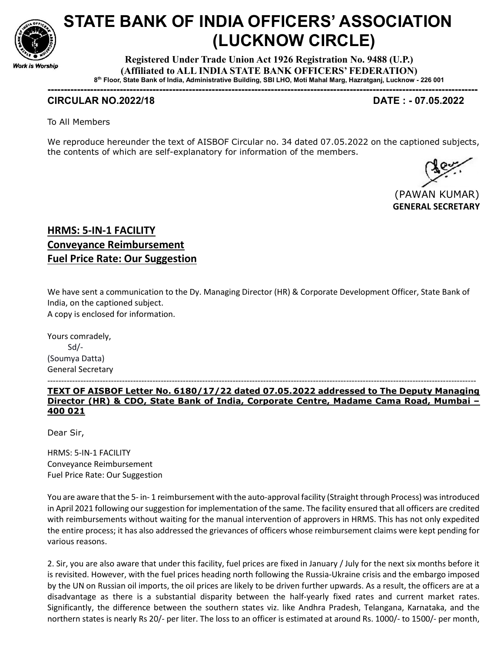

# STATE BANK OF INDIA OFFICERS' ASSOCIATION (LUCKNOW CIRCLE)

Registered Under Trade Union Act 1926 Registration No. 9488 (U.P.) (Affiliated to ALL INDIA STATE BANK OFFICERS' FEDERATION) 8 th Floor, State Bank of India, Administrative Building, SBI LHO, Moti Mahal Marg, Hazratganj, Lucknow - 226 001

-----------------------------------------------------------------------------------------------------------------------------------

## CIRCULAR NO.2022/18 DATE : - 07.05.2022

To All Members

We reproduce hereunder the text of AISBOF Circular no. 34 dated 07.05.2022 on the captioned subjects, the contents of which are self-explanatory for information of the members.



# HRMS: 5-IN-1 FACILITY Conveyance Reimbursement Fuel Price Rate: Our Suggestion

We have sent a communication to the Dy. Managing Director (HR) & Corporate Development Officer, State Bank of India, on the captioned subject. A copy is enclosed for information.

Yours comradely, Sd/- (Soumya Datta) General Secretary

-----------------------------------------------------------------------------------------------------------------------------------------------------------

TEXT OF AISBOF Letter No. 6180/17/22 dated 07.05.2022 addressed to The Deputy Managing Director (HR) & CDO, State Bank of India, Corporate Centre, Madame Cama Road, Mumbai – 400 021

Dear Sir,

HRMS: 5-IN-1 FACILITY Conveyance Reimbursement Fuel Price Rate: Our Suggestion

You are aware that the 5- in- 1 reimbursement with the auto-approval facility (Straight through Process) was introduced in April 2021 following our suggestion for implementation of the same. The facility ensured that all officers are credited with reimbursements without waiting for the manual intervention of approvers in HRMS. This has not only expedited the entire process; it has also addressed the grievances of officers whose reimbursement claims were kept pending for various reasons.

2. Sir, you are also aware that under this facility, fuel prices are fixed in January / July for the next six months before it is revisited. However, with the fuel prices heading north following the Russia-Ukraine crisis and the embargo imposed by the UN on Russian oil imports, the oil prices are likely to be driven further upwards. As a result, the officers are at a disadvantage as there is a substantial disparity between the half-yearly fixed rates and current market rates. Significantly, the difference between the southern states viz. like Andhra Pradesh, Telangana, Karnataka, and the northern states is nearly Rs 20/- per liter. The loss to an officer is estimated at around Rs. 1000/- to 1500/- per month,